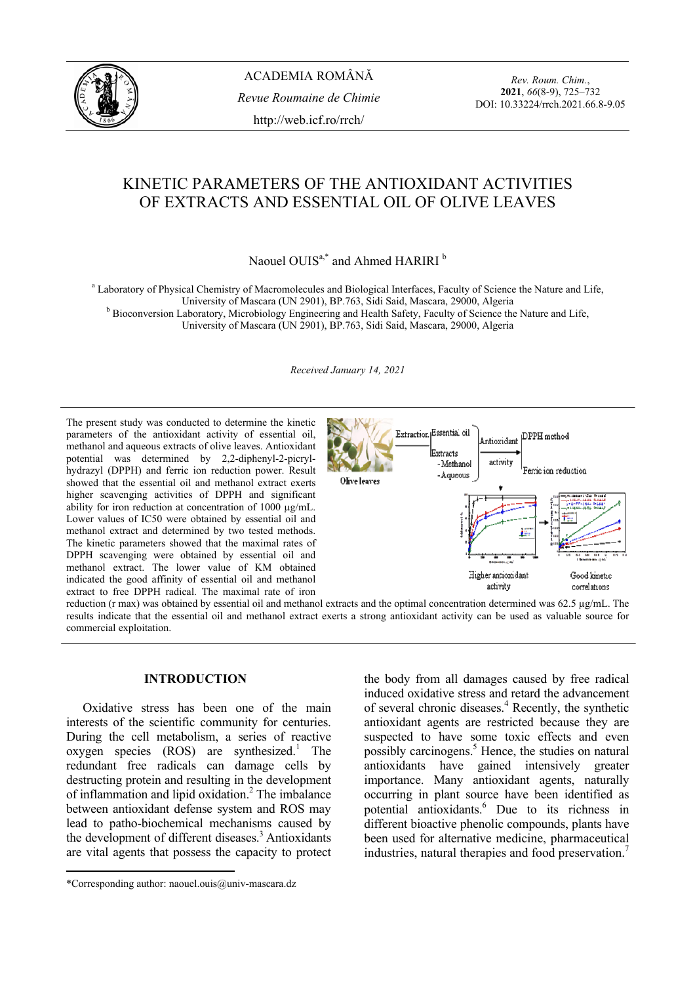

ACADEMIA ROMÂNĂ *Revue Roumaine de Chimie*  http://web.icf.ro/rrch/

*Rev. Roum. Chim.*, **2021**, *66*(8-9), 725–732 DOI: 10.33224/rrch.2021.66.8-9.05

# KINETIC PARAMETERS OF THE ANTIOXIDANT ACTIVITIES OF EXTRACTS AND ESSENTIAL OIL OF OLIVE LEAVES

Naouel OUIS<sup>a,\*</sup> and Ahmed HARIRI<sup>b</sup>

<sup>a</sup> Laboratory of Physical Chemistry of Macromolecules and Biological Interfaces, Faculty of Science the Nature and Life, University of Mascara (UN 2901), BP.763, Sidi Said, Mascara, 29000, Algeria b <sup>b</sup> Bioconversion Laboratory, Microbiology Engineering and Health Safety, Faculty of Science the Nature and Life,

University of Mascara (UN 2901), BP.763, Sidi Said, Mascara, 29000, Algeria

*Received January 14, 2021* 

The present study was conducted to determine the kinetic parameters of the antioxidant activity of essential oil, methanol and aqueous extracts of olive leaves. Antioxidant potential was determined by 2,2-diphenyl-2-picrylhydrazyl (DPPH) and ferric ion reduction power. Result showed that the essential oil and methanol extract exerts higher scavenging activities of DPPH and significant ability for iron reduction at concentration of 1000 ug/mL. Lower values of IC50 were obtained by essential oil and methanol extract and determined by two tested methods. The kinetic parameters showed that the maximal rates of DPPH scavenging were obtained by essential oil and methanol extract. The lower value of KM obtained indicated the good affinity of essential oil and methanol extract to free DPPH radical. The maximal rate of iron



reduction (r max) was obtained by essential oil and methanol extracts and the optimal concentration determined was 62.5 µg/mL. The results indicate that the essential oil and methanol extract exerts a strong antioxidant activity can be used as valuable source for commercial exploitation.

### **INTRODUCTION**\*

 Oxidative stress has been one of the main interests of the scientific community for centuries. During the cell metabolism, a series of reactive oxygen species  $(ROS)$  are synthesized.<sup>1</sup> The redundant free radicals can damage cells by destructing protein and resulting in the development of inflammation and lipid oxidation.<sup>2</sup> The imbalance between antioxidant defense system and ROS may lead to patho-biochemical mechanisms caused by the development of different diseases.<sup>3</sup> Antioxidants are vital agents that possess the capacity to protect

the body from all damages caused by free radical induced oxidative stress and retard the advancement of several chronic diseases.<sup>4</sup> Recently, the synthetic antioxidant agents are restricted because they are suspected to have some toxic effects and even possibly carcinogens.<sup>5</sup> Hence, the studies on natural antioxidants have gained intensively greater importance. Many antioxidant agents, naturally occurring in plant source have been identified as potential antioxidants.<sup>6</sup> Due to its richness in different bioactive phenolic compounds, plants have been used for alternative medicine, pharmaceutical industries, natural therapies and food preservation.<sup>7</sup>

<sup>\*</sup>Corresponding author: naouel.ouis@univ-mascara.dz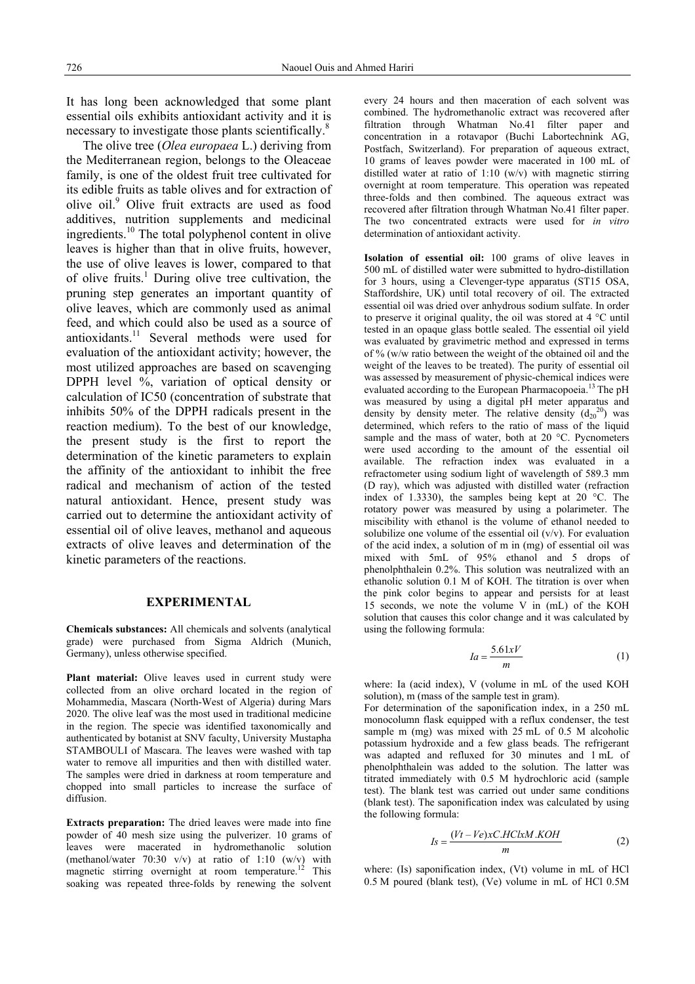It has long been acknowledged that some plant essential oils exhibits antioxidant activity and it is necessary to investigate those plants scientifically.<sup>8</sup>

 The olive tree (*Olea europaea* L.) deriving from the Mediterranean region, belongs to the Oleaceae family, is one of the oldest fruit tree cultivated for its edible fruits as table olives and for extraction of olive oil.<sup>9</sup> Olive fruit extracts are used as food additives, nutrition supplements and medicinal ingredients.10 The total polyphenol content in olive leaves is higher than that in olive fruits, however, the use of olive leaves is lower, compared to that of olive fruits.<sup>1</sup> During olive tree cultivation, the pruning step generates an important quantity of olive leaves, which are commonly used as animal feed, and which could also be used as a source of antioxidants.11 Several methods were used for evaluation of the antioxidant activity; however, the most utilized approaches are based on scavenging DPPH level %, variation of optical density or calculation of IC50 (concentration of substrate that inhibits 50% of the DPPH radicals present in the reaction medium). To the best of our knowledge, the present study is the first to report the determination of the kinetic parameters to explain the affinity of the antioxidant to inhibit the free radical and mechanism of action of the tested natural antioxidant. Hence, present study was carried out to determine the antioxidant activity of essential oil of olive leaves, methanol and aqueous extracts of olive leaves and determination of the kinetic parameters of the reactions.

### **EXPERIMENTAL**

**Chemicals substances:** All chemicals and solvents (analytical grade) were purchased from Sigma Aldrich (Munich, Germany), unless otherwise specified.

**Plant material:** Olive leaves used in current study were collected from an olive orchard located in the region of Mohammedia, Mascara (North-West of Algeria) during Mars 2020. The olive leaf was the most used in traditional medicine in the region. The specie was identified taxonomically and authenticated by botanist at SNV faculty, University Mustapha STAMBOULI of Mascara. The leaves were washed with tap water to remove all impurities and then with distilled water. The samples were dried in darkness at room temperature and chopped into small particles to increase the surface of diffusion.

**Extracts preparation:** The dried leaves were made into fine powder of 40 mesh size using the pulverizer. 10 grams of leaves were macerated in hydromethanolic solution (methanol/water  $70:30 \text{ v/v}$ ) at ratio of 1:10 (w/v) with magnetic stirring overnight at room temperature.<sup>12</sup> This soaking was repeated three-folds by renewing the solvent every 24 hours and then maceration of each solvent was combined. The hydromethanolic extract was recovered after filtration through Whatman No.41 filter paper and concentration in a rotavapor (Buchi Labortechnink AG, Postfach, Switzerland). For preparation of aqueous extract, 10 grams of leaves powder were macerated in 100 mL of distilled water at ratio of 1:10 (w/v) with magnetic stirring overnight at room temperature. This operation was repeated three-folds and then combined. The aqueous extract was recovered after filtration through Whatman No.41 filter paper. The two concentrated extracts were used for *in vitro* determination of antioxidant activity.

**Isolation of essential oil:** 100 grams of olive leaves in 500 mL of distilled water were submitted to hydro-distillation for 3 hours, using a Clevenger-type apparatus (ST15 OSA, Staffordshire, UK) until total recovery of oil. The extracted essential oil was dried over anhydrous sodium sulfate. In order to preserve it original quality, the oil was stored at 4 °C until tested in an opaque glass bottle sealed. The essential oil yield was evaluated by gravimetric method and expressed in terms of % (w/w ratio between the weight of the obtained oil and the weight of the leaves to be treated). The purity of essential oil was assessed by measurement of physic-chemical indices were evaluated according to the European Pharmacopoeia.<sup>13</sup> The pH was measured by using a digital pH meter apparatus and density by density meter. The relative density  $(d_{20}^{20})$  was determined, which refers to the ratio of mass of the liquid sample and the mass of water, both at 20 °C. Pycnometers were used according to the amount of the essential oil available. The refraction index was evaluated in a refractometer using sodium light of wavelength of 589.3 mm (D ray), which was adjusted with distilled water (refraction index of 1.3330), the samples being kept at 20 °C. The rotatory power was measured by using a polarimeter. The miscibility with ethanol is the volume of ethanol needed to solubilize one volume of the essential oil  $(v/v)$ . For evaluation of the acid index, a solution of m in (mg) of essential oil was mixed with 5mL of 95% ethanol and 5 drops of phenolphthalein 0.2%. This solution was neutralized with an ethanolic solution 0.1 M of KOH. The titration is over when the pink color begins to appear and persists for at least 15 seconds, we note the volume V in (mL) of the KOH solution that causes this color change and it was calculated by using the following formula:

$$
Ia = \frac{5.61xV}{m} \tag{1}
$$

where: Ia (acid index), V (volume in mL of the used KOH solution), m (mass of the sample test in gram).

For determination of the saponification index, in a 250 mL monocolumn flask equipped with a reflux condenser, the test sample m (mg) was mixed with 25 mL of 0.5 M alcoholic potassium hydroxide and a few glass beads. The refrigerant was adapted and refluxed for 30 minutes and 1 mL of phenolphthalein was added to the solution. The latter was titrated immediately with 0.5 M hydrochloric acid (sample test). The blank test was carried out under same conditions (blank test). The saponification index was calculated by using the following formula:

$$
Is = \frac{(Vt - Ve)xC.HClxM.KOH}{m}
$$
 (2)

where: (Is) saponification index, (Vt) volume in mL of HCl 0.5 M poured (blank test), (Ve) volume in mL of HCl 0.5M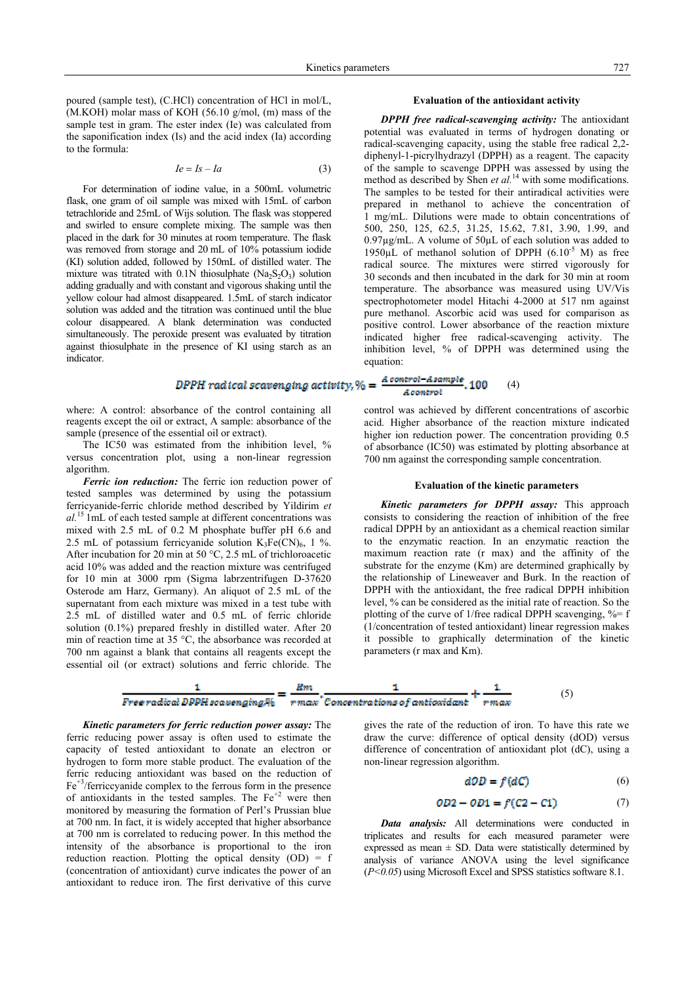poured (sample test), (C.HCl) concentration of HCl in mol/L, (M.KOH) molar mass of KOH (56.10 g/mol, (m) mass of the sample test in gram. The ester index (Ie) was calculated from the saponification index (Is) and the acid index (Ia) according to the formula:

$$
Ie = Is - Ia \tag{3}
$$

 For determination of iodine value, in a 500mL volumetric flask, one gram of oil sample was mixed with 15mL of carbon tetrachloride and 25mL of Wijs solution. The flask was stoppered and swirled to ensure complete mixing. The sample was then placed in the dark for 30 minutes at room temperature. The flask was removed from storage and 20 mL of 10% potassium iodide (KI) solution added, followed by 150mL of distilled water. The mixture was titrated with  $0.1N$  thiosulphate  $(Na<sub>2</sub>S<sub>2</sub>O<sub>3</sub>)$  solution adding gradually and with constant and vigorous shaking until the yellow colour had almost disappeared. 1.5mL of starch indicator solution was added and the titration was continued until the blue colour disappeared. A blank determination was conducted simultaneously. The peroxide present was evaluated by titration against thiosulphate in the presence of KI using starch as an indicator.

where: A control: absorbance of the control containing all reagents except the oil or extract, A sample: absorbance of the sample (presence of the essential oil or extract).

The IC50 was estimated from the inhibition level, % versus concentration plot, using a non-linear regression algorithm.

*Ferric ion reduction:* The ferric ion reduction power of tested samples was determined by using the potassium ferricyanide-ferric chloride method described by Yildirim *et al.*15 1mL of each tested sample at different concentrations was mixed with 2.5 mL of 0.2 M phosphate buffer pH 6.6 and 2.5 mL of potassium ferricyanide solution  $K_3Fe(CN)_6$ , 1 %. After incubation for 20 min at 50 °C, 2.5 mL of trichloroacetic acid 10% was added and the reaction mixture was centrifuged for 10 min at 3000 rpm (Sigma labrzentrifugen D-37620 Osterode am Harz, Germany). An aliquot of 2.5 mL of the supernatant from each mixture was mixed in a test tube with 2.5 mL of distilled water and 0.5 mL of ferric chloride solution (0.1%) prepared freshly in distilled water. After 20 min of reaction time at 35 °C, the absorbance was recorded at 700 nm against a blank that contains all reagents except the essential oil (or extract) solutions and ferric chloride. The

#### **Evaluation of the antioxidant activity**

*DPPH free radical-scavenging activity:* The antioxidant potential was evaluated in terms of hydrogen donating or radical-scavenging capacity, using the stable free radical 2,2 diphenyl-1-picrylhydrazyl (DPPH) as a reagent. The capacity of the sample to scavenge DPPH was assessed by using the method as described by Shen *et al.*<sup>14</sup> with some modifications. The samples to be tested for their antiradical activities were prepared in methanol to achieve the concentration of 1 mg/mL. Dilutions were made to obtain concentrations of 500, 250, 125, 62.5, 31.25, 15.62, 7.81, 3.90, 1.99, and 0.97µg/mL. A volume of 50µL of each solution was added to 1950 $\mu$ L of methanol solution of DPPH (6.10<sup>-5</sup> M) as free radical source. The mixtures were stirred vigorously for 30 seconds and then incubated in the dark for 30 min at room temperature. The absorbance was measured using UV/Vis spectrophotometer model Hitachi 4-2000 at 517 nm against pure methanol. Ascorbic acid was used for comparison as positive control. Lower absorbance of the reaction mixture indicated higher free radical-scavenging activity. The inhibition level, % of DPPH was determined using the equation:

#### Acontrol-Asample 100 DPPH radical scavenging activity, % =  $(4)$ Acontrol

control was achieved by different concentrations of ascorbic acid. Higher absorbance of the reaction mixture indicated higher ion reduction power. The concentration providing 0.5 of absorbance (IC50) was estimated by plotting absorbance at 700 nm against the corresponding sample concentration.

#### **Evaluation of the kinetic parameters**

*Kinetic parameters for DPPH assay:* This approach consists to considering the reaction of inhibition of the free radical DPPH by an antioxidant as a chemical reaction similar to the enzymatic reaction. In an enzymatic reaction the maximum reaction rate (r max) and the affinity of the substrate for the enzyme (Km) are determined graphically by the relationship of Lineweaver and Burk. In the reaction of DPPH with the antioxidant, the free radical DPPH inhibition level, % can be considered as the initial rate of reaction. So the plotting of the curve of 1/free radical DPPH scavenging,  $\% = f$ (1/concentration of tested antioxidant) linear regression makes it possible to graphically determination of the kinetic parameters (r max and Km).



*Kinetic parameters for ferric reduction power assay:* The ferric reducing power assay is often used to estimate the capacity of tested antioxidant to donate an electron or hydrogen to form more stable product. The evaluation of the ferric reducing antioxidant was based on the reduction of  $Fe<sup>+3</sup>/ferriccyan$  complex to the ferrous form in the presence of antioxidants in the tested samples. The  $Fe<sup>+2</sup>$  were then monitored by measuring the formation of Perl's Prussian blue at 700 nm. In fact, it is widely accepted that higher absorbance at 700 nm is correlated to reducing power. In this method the intensity of the absorbance is proportional to the iron reduction reaction. Plotting the optical density (OD) = f (concentration of antioxidant) curve indicates the power of an antioxidant to reduce iron. The first derivative of this curve

gives the rate of the reduction of iron. To have this rate we draw the curve: difference of optical density (dOD) versus difference of concentration of antioxidant plot (dC), using a non-linear regression algorithm.

$$
d\mathcal{D}D = f(dC) \tag{6}
$$

$$
OD2 - OD1 = f(C2 - C1)
$$
 (7)

*Data analysis:* All determinations were conducted in triplicates and results for each measured parameter were expressed as mean  $\pm$  SD. Data were statistically determined by analysis of variance ANOVA using the level significance (*P<0.05*) using Microsoft Excel and SPSS statistics software 8.1.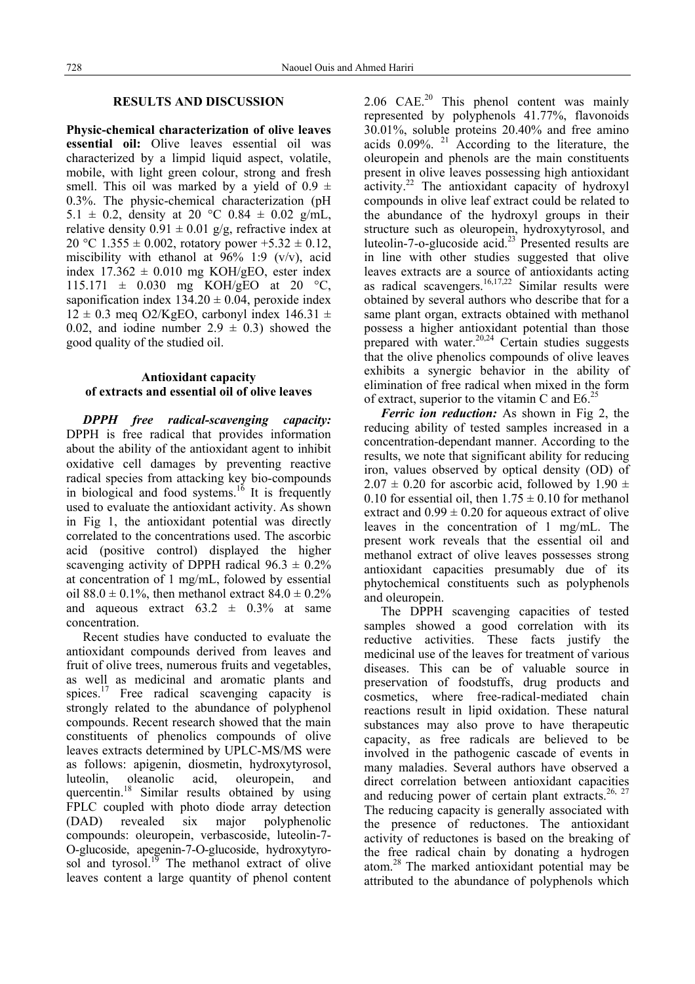## **RESULTS AND DISCUSSION**

**Physic-chemical characterization of olive leaves essential oil:** Olive leaves essential oil was characterized by a limpid liquid aspect, volatile, mobile, with light green colour, strong and fresh smell. This oil was marked by a yield of  $0.9 \pm$ 0.3%. The physic-chemical characterization (pH 5.1  $\pm$  0.2, density at 20 °C 0.84  $\pm$  0.02 g/mL, relative density  $0.91 \pm 0.01$  g/g, refractive index at 20 °C 1.355  $\pm$  0.002, rotatory power +5.32  $\pm$  0.12, miscibility with ethanol at  $96\%$  1:9 (v/v), acid index  $17.362 \pm 0.010$  mg KOH/gEO, ester index 115.171  $\pm$  0.030 mg KOH/gEO at 20 °C, saponification index  $134.20 \pm 0.04$ , peroxide index  $12 \pm 0.3$  meg O2/KgEO, carbonyl index  $146.31 \pm 1.5$ 0.02, and iodine number  $2.9 \pm 0.3$  showed the good quality of the studied oil.

### **Antioxidant capacity of extracts and essential oil of olive leaves**

*DPPH free radical-scavenging capacity:* DPPH is free radical that provides information about the ability of the antioxidant agent to inhibit oxidative cell damages by preventing reactive radical species from attacking key bio-compounds in biological and food systems.<sup>16</sup> It is frequently used to evaluate the antioxidant activity. As shown in Fig 1, the antioxidant potential was directly correlated to the concentrations used. The ascorbic acid (positive control) displayed the higher scavenging activity of DPPH radical  $96.3 \pm 0.2\%$ at concentration of 1 mg/mL, folowed by essential oil 88.0  $\pm$  0.1%, then methanol extract 84.0  $\pm$  0.2% and aqueous extract  $63.2 \pm 0.3\%$  at same concentration.

Recent studies have conducted to evaluate the antioxidant compounds derived from leaves and fruit of olive trees, numerous fruits and vegetables, as well as medicinal and aromatic plants and spices.<sup>17</sup> Free radical scavenging capacity is strongly related to the abundance of polyphenol compounds. Recent research showed that the main constituents of phenolics compounds of olive leaves extracts determined by UPLC-MS/MS were as follows: apigenin, diosmetin, hydroxytyrosol, luteolin, oleanolic acid, oleuropein, and quercentin.18 Similar results obtained by using FPLC coupled with photo diode array detection (DAD) revealed six major polyphenolic compounds: oleuropein, verbascoside, luteolin-7- O-glucoside, apegenin-7-O-glucoside, hydroxytyrosol and tyrosol.<sup>19</sup> The methanol extract of olive leaves content a large quantity of phenol content 2.06  $CAE<sup>20</sup>$  This phenol content was mainly represented by polyphenols 41.77%, flavonoids 30.01%, soluble proteins 20.40% and free amino acids  $0.09\%$ , <sup>21</sup> According to the literature, the oleuropein and phenols are the main constituents present in olive leaves possessing high antioxidant  $\arcsin(2^2)$  The antioxidant capacity of hydroxyl compounds in olive leaf extract could be related to the abundance of the hydroxyl groups in their structure such as oleuropein, hydroxytyrosol, and luteolin-7-o-glucoside acid.<sup>23</sup> Presented results are in line with other studies suggested that olive leaves extracts are a source of antioxidants acting as radical scavengers. $16,17,22$  Similar results were obtained by several authors who describe that for a same plant organ, extracts obtained with methanol possess a higher antioxidant potential than those prepared with water. $20,24$  Certain studies suggests that the olive phenolics compounds of olive leaves exhibits a synergic behavior in the ability of elimination of free radical when mixed in the form of extract, superior to the vitamin C and  $E6<sup>25</sup>$ 

*Ferric ion reduction:* As shown in Fig 2, the reducing ability of tested samples increased in a concentration-dependant manner. According to the results, we note that significant ability for reducing iron, values observed by optical density (OD) of  $2.07 \pm 0.20$  for ascorbic acid, followed by 1.90  $\pm$ 0.10 for essential oil, then  $1.75 \pm 0.10$  for methanol extract and  $0.99 \pm 0.20$  for aqueous extract of olive leaves in the concentration of 1 mg/mL. The present work reveals that the essential oil and methanol extract of olive leaves possesses strong antioxidant capacities presumably due of its phytochemical constituents such as polyphenols and oleuropein.

The DPPH scavenging capacities of tested samples showed a good correlation with its reductive activities. These facts justify the medicinal use of the leaves for treatment of various diseases. This can be of valuable source in preservation of foodstuffs, drug products and cosmetics, where free-radical-mediated chain reactions result in lipid oxidation. These natural substances may also prove to have therapeutic capacity, as free radicals are believed to be involved in the pathogenic cascade of events in many maladies. Several authors have observed a direct correlation between antioxidant capacities and reducing power of certain plant extracts.<sup>26, 27</sup> The reducing capacity is generally associated with the presence of reductones. The antioxidant activity of reductones is based on the breaking of the free radical chain by donating a hydrogen atom.28 The marked antioxidant potential may be attributed to the abundance of polyphenols which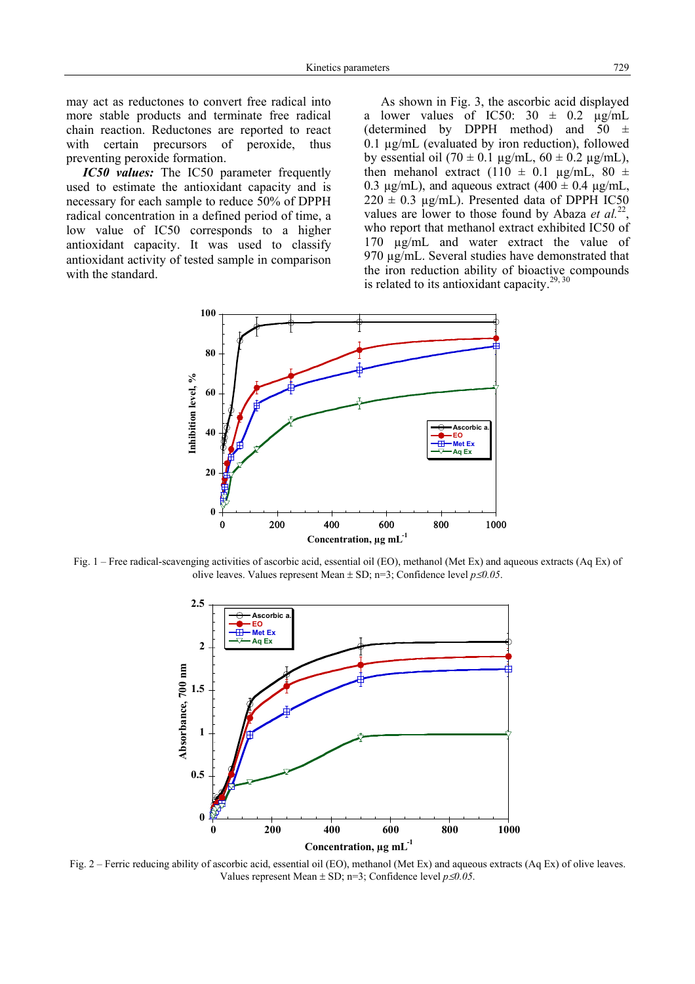may act as reductones to convert free radical into more stable products and terminate free radical chain reaction. Reductones are reported to react with certain precursors of peroxide, thus preventing peroxide formation.

*IC50 values:* The IC50 parameter frequently used to estimate the antioxidant capacity and is necessary for each sample to reduce 50% of DPPH radical concentration in a defined period of time, a low value of IC50 corresponds to a higher antioxidant capacity. It was used to classify antioxidant activity of tested sample in comparison with the standard.

As shown in Fig. 3, the ascorbic acid displayed a lower values of IC50:  $30 \pm 0.2$   $\mu$ g/mL (determined by DPPH method) and  $50 \pm$ 0.1 µg/mL (evaluated by iron reduction), followed by essential oil (70  $\pm$  0.1 µg/mL, 60  $\pm$  0.2 µg/mL), then mehanol extract (110  $\pm$  0.1 µg/mL, 80  $\pm$ 0.3  $\mu$ g/mL), and aqueous extract (400  $\pm$  0.4  $\mu$ g/mL,  $220 \pm 0.3$  µg/mL). Presented data of DPPH IC50 values are lower to those found by Abaza *et al.*<sup>22</sup>, who report that methanol extract exhibited IC50 of 170 µg/mL and water extract the value of 970 µg/mL. Several studies have demonstrated that the iron reduction ability of bioactive compounds is related to its antioxidant capacity.<sup>29, 30</sup>



Fig. 1 – Free radical-scavenging activities of ascorbic acid, essential oil (EO), methanol (Met Ex) and aqueous extracts (Aq Ex) of olive leaves. Values represent Mean ± SD; n=3; Confidence level *p*≤*0.05*.



Fig. 2 – Ferric reducing ability of ascorbic acid, essential oil (EO), methanol (Met Ex) and aqueous extracts (Aq Ex) of olive leaves. Values represent Mean  $\pm$  SD; n=3; Confidence level  $p \le 0.05$ .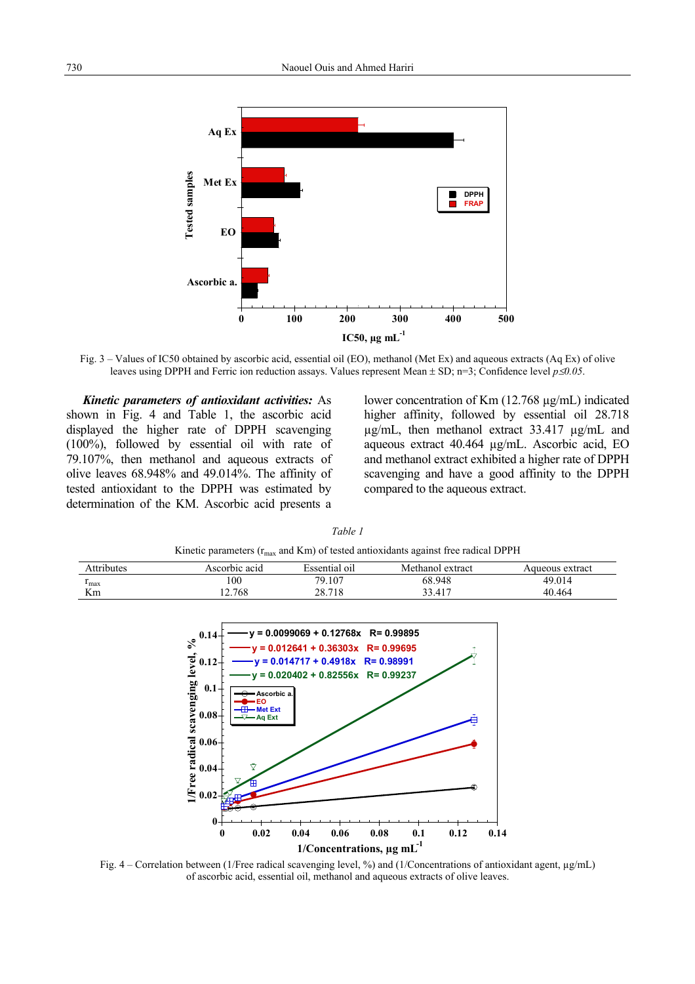

Fig. 3 – Values of IC50 obtained by ascorbic acid, essential oil (EO), methanol (Met Ex) and aqueous extracts (Aq Ex) of olive leaves using DPPH and Ferric ion reduction assays. Values represent Mean ± SD; n=3; Confidence level *p*≤*0.05*.

*Kinetic parameters of antioxidant activities:* As shown in Fig. 4 and Table 1, the ascorbic acid displayed the higher rate of DPPH scavenging (100%), followed by essential oil with rate of 79.107%, then methanol and aqueous extracts of olive leaves 68.948% and 49.014%. The affinity of tested antioxidant to the DPPH was estimated by determination of the KM. Ascorbic acid presents a lower concentration of Km (12.768 µg/mL) indicated higher affinity, followed by essential oil 28.718 µg/mL, then methanol extract 33.417 µg/mL and aqueous extract 40.464 µg/mL. Ascorbic acid, EO and methanol extract exhibited a higher rate of DPPH scavenging and have a good affinity to the DPPH compared to the aqueous extract.

| <b>K</b> K Equality C $\mu_{\text{max}}$ and K $\mu_{\text{min}}$ of tested antioxidants against free radical D $\mu_{\text{min}}$ |               |               |                  |                 |  |
|------------------------------------------------------------------------------------------------------------------------------------|---------------|---------------|------------------|-----------------|--|
| Attributes                                                                                                                         | Ascorbic acid | Essential oil | Methanol extract | Aqueous extract |  |
| $\mathbf{I}_{\text{max}}$                                                                                                          | 100           | 79.107        | 68.948           | 49.014          |  |
| Km                                                                                                                                 | 12.768        | 28.718        | 33.417           | 40.464          |  |
|                                                                                                                                    |               |               |                  |                 |  |

*Table 1*

Kinetic parameters (rmax and Km) of tested antioxidants against free radical DPPH



Fig. 4 – Correlation between (1/Free radical scavenging level, %) and (1/Concentrations of antioxidant agent, µg/mL) of ascorbic acid, essential oil, methanol and aqueous extracts of olive leaves.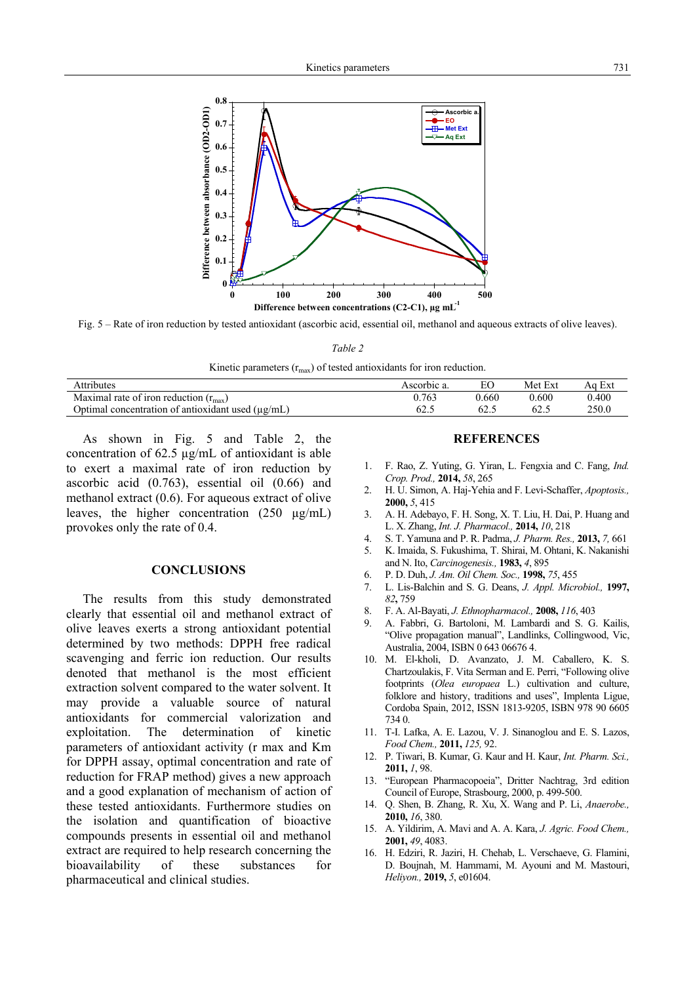

Fig. 5 – Rate of iron reduction by tested antioxidant (ascorbic acid, essential oil, methanol and aqueous extracts of olive leaves).

*Table 2*

Kinetic parameters  $(r_{\text{max}})$  of tested antioxidants for iron reduction.

| <b>Attributes</b>                                      | Ascorbic a. | EС    | Ext<br>Met | Ext<br>Aα |
|--------------------------------------------------------|-------------|-------|------------|-----------|
| Maximal rate of iron reduction $(r_{\text{max}})$      | .763        | 0.660 | 0.600      | 0.400     |
| Optimal concentration of antioxidant used $(\mu g/mL)$ | ن. کان      | 62.1  | 62.S       | 250.0     |

As shown in Fig. 5 and Table 2, the concentration of 62.5 µg/mL of antioxidant is able to exert a maximal rate of iron reduction by ascorbic acid (0.763), essential oil (0.66) and methanol extract (0.6). For aqueous extract of olive leaves, the higher concentration (250 µg/mL) provokes only the rate of 0.4.

### **CONCLUSIONS**

The results from this study demonstrated clearly that essential oil and methanol extract of olive leaves exerts a strong antioxidant potential determined by two methods: DPPH free radical scavenging and ferric ion reduction. Our results denoted that methanol is the most efficient extraction solvent compared to the water solvent. It may provide a valuable source of natural antioxidants for commercial valorization and exploitation. The determination of kinetic parameters of antioxidant activity (r max and Km for DPPH assay, optimal concentration and rate of reduction for FRAP method) gives a new approach and a good explanation of mechanism of action of these tested antioxidants. Furthermore studies on the isolation and quantification of bioactive compounds presents in essential oil and methanol extract are required to help research concerning the bioavailability of these substances for pharmaceutical and clinical studies.

### **REFERENCES**

- 1. F. Rao, Z. Yuting, G. Yiran, L. Fengxia and C. Fang, *Ind. Crop. Prod.,* **2014,** *58*, 265
- 2. H. U. Simon, A. Haj-Yehia and F. Levi-Schaffer, *Apoptosis.,* **2000,** *5*, 415
- 3. A. H. Adebayo, F. H. Song, X. T. Liu, H. Dai, P. Huang and L. X. Zhang, *Int. J. Pharmacol.,* **2014,** *10*, 218
- 4. S. T. Yamuna and P. R. Padma, *J. Pharm. Res.,* **2013,** *7,* 661
- 5. K. Imaida, S. Fukushima, T. Shirai, M. Ohtani, K. Nakanishi and N. Ito, *Carcinogenesis.,* **1983,** *4*, 895
- 6. P. D. Duh, *J. Am. Oil Chem. Soc.,* **1998,** *75*, 455
- 7. L. Lis-Balchin and S. G. Deans, *J. Appl. Microbiol.,* **1997,**  *82***,** 759
- 8. F. A. Al-Bayati, *J. Ethnopharmacol.,* **2008,** *116*, 403
- 9. A. Fabbri, G. Bartoloni, M. Lambardi and S. G. Kailis, "Olive propagation manual", Landlinks, Collingwood, Vic, Australia, 2004, ISBN 0 643 06676 4.
- 10. M. El-kholi, D. Avanzato, J. M. Caballero, K. S. Chartzoulakis, F. Vita Serman and E. Perri, "Following olive footprints (*Olea europaea* L.) cultivation and culture, folklore and history, traditions and uses", Implenta Ligue, Cordoba Spain, 2012, ISSN 1813-9205, ISBN 978 90 6605 734 0.
- 11. T-I. Lafka, A. E. Lazou, V. J. Sinanoglou and E. S. Lazos, *Food Chem.,* **2011,** *125,* 92.
- 12. P. Tiwari, B. Kumar, G. Kaur and H. Kaur, *Int. Pharm. Sci.,*  **2011,** *1*, 98.
- 13. "European Pharmacopoeia", Dritter Nachtrag, 3rd edition Council of Europe, Strasbourg, 2000, p. 499-500.
- 14. Q. Shen, B. Zhang, R. Xu, X. Wang and P. Li, *Anaerobe.,*  **2010,** *16*, 380.
- 15. A. Yildirim, A. Mavi and A. A. Kara, *J. Agric. Food Chem.,* **2001,** *49*, 4083.
- 16. H. Edziri, R. Jaziri, H. Chehab, L. Verschaeve, G. Flamini, D. Boujnah, M. Hammami, M. Ayouni and M. Mastouri, *Heliyon.,* **2019,** *5*, e01604.